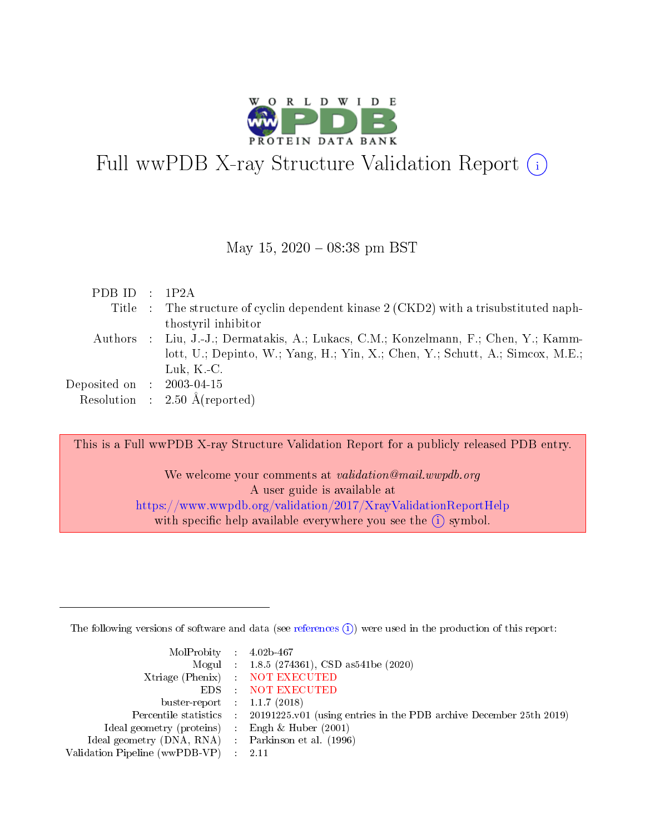

# Full wwPDB X-ray Structure Validation Report (i)

#### May 15,  $2020 - 08:38$  pm BST

| PDB ID : $1P2A$             |                                                                                       |
|-----------------------------|---------------------------------------------------------------------------------------|
|                             | Title : The structure of cyclin dependent kinase 2 (CKD2) with a trisubstituted naph- |
|                             | thostyril inhibitor                                                                   |
|                             | Authors : Liu, J.-J.; Dermatakis, A.; Lukacs, C.M.; Konzelmann, F.; Chen, Y.; Kamm-   |
|                             | lott, U.; Depinto, W.; Yang, H.; Yin, X.; Chen, Y.; Schutt, A.; Simcox, M.E.;         |
|                             | Luk, $K$ . C.                                                                         |
| Deposited on : $2003-04-15$ |                                                                                       |
|                             | Resolution : $2.50 \text{ Å}$ (reported)                                              |
|                             |                                                                                       |

This is a Full wwPDB X-ray Structure Validation Report for a publicly released PDB entry.

We welcome your comments at *validation@mail.wwpdb.org* A user guide is available at <https://www.wwpdb.org/validation/2017/XrayValidationReportHelp> with specific help available everywhere you see the  $(i)$  symbol.

The following versions of software and data (see [references](https://www.wwpdb.org/validation/2017/XrayValidationReportHelp#references)  $(i)$ ) were used in the production of this report:

| MolProbity : $4.02b-467$                            |                                                                                            |
|-----------------------------------------------------|--------------------------------------------------------------------------------------------|
|                                                     | Mogul : $1.8.5$ (274361), CSD as 541be (2020)                                              |
|                                                     | Xtriage (Phenix) NOT EXECUTED                                                              |
|                                                     | EDS : NOT EXECUTED                                                                         |
| buster-report : $1.1.7(2018)$                       |                                                                                            |
|                                                     | Percentile statistics : 20191225.v01 (using entries in the PDB archive December 25th 2019) |
| Ideal geometry (proteins) :                         | Engh & Huber $(2001)$                                                                      |
| Ideal geometry (DNA, RNA) : Parkinson et al. (1996) |                                                                                            |
| Validation Pipeline (wwPDB-VP)                      | -2.11                                                                                      |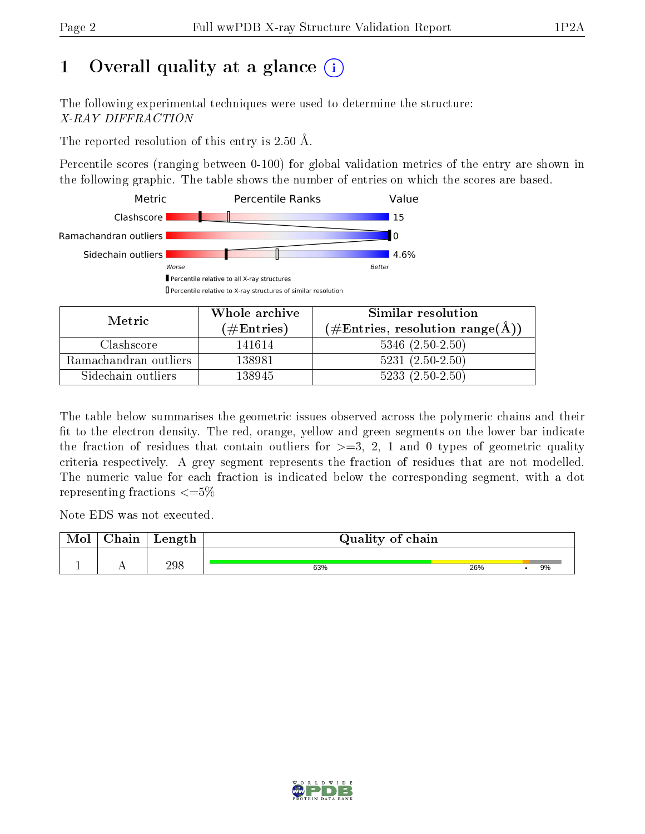# 1 [O](https://www.wwpdb.org/validation/2017/XrayValidationReportHelp#overall_quality)verall quality at a glance  $(i)$

The following experimental techniques were used to determine the structure: X-RAY DIFFRACTION

The reported resolution of this entry is 2.50 Å.

Percentile scores (ranging between 0-100) for global validation metrics of the entry are shown in the following graphic. The table shows the number of entries on which the scores are based.



| Metric                | Whole archive        | Similar resolution                                         |  |  |
|-----------------------|----------------------|------------------------------------------------------------|--|--|
|                       | $(\#\text{Entries})$ | $(\#\text{Entries}, \text{resolution range}(\text{\AA}) )$ |  |  |
| Clashscore            | 141614               | $5346$ $(2.50-2.50)$                                       |  |  |
| Ramachandran outliers | 138981               | $5231 (2.50 - 2.50)$                                       |  |  |
| Sidechain outliers    | 138945               | $5233(2.50-2.50)$                                          |  |  |

The table below summarises the geometric issues observed across the polymeric chains and their fit to the electron density. The red, orange, yellow and green segments on the lower bar indicate the fraction of residues that contain outliers for  $\geq=3$ , 2, 1 and 0 types of geometric quality criteria respectively. A grey segment represents the fraction of residues that are not modelled. The numeric value for each fraction is indicated below the corresponding segment, with a dot representing fractions  $\leq=5\%$ 

Note EDS was not executed.

| Mol | $\cap$ hain | Length | Quality of chain |     |    |
|-----|-------------|--------|------------------|-----|----|
|     |             | 298    | 63%              | 26% | 9% |

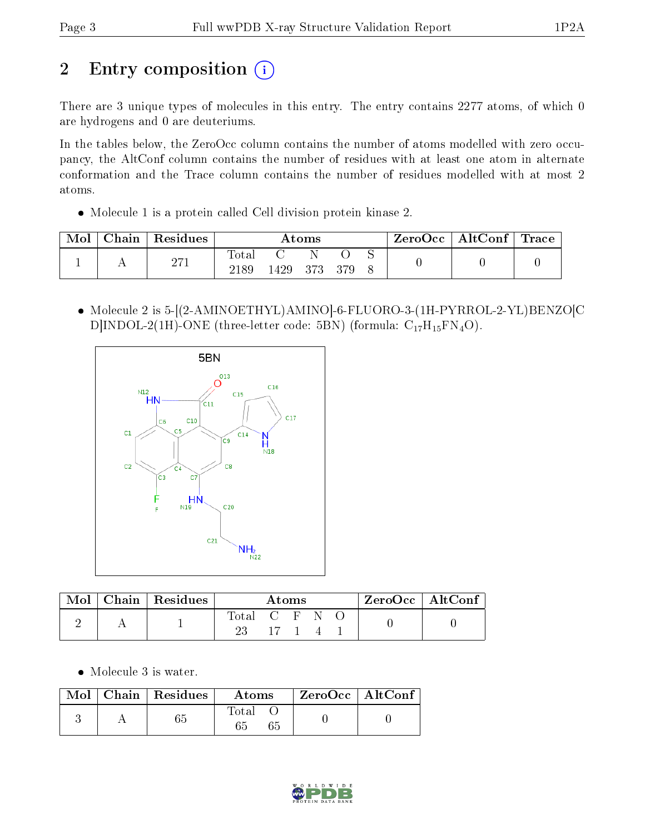# 2 Entry composition (i)

There are 3 unique types of molecules in this entry. The entry contains 2277 atoms, of which 0 are hydrogens and 0 are deuteriums.

In the tables below, the ZeroOcc column contains the number of atoms modelled with zero occupancy, the AltConf column contains the number of residues with at least one atom in alternate conformation and the Trace column contains the number of residues modelled with at most 2 atoms.

Molecule 1 is a protein called Cell division protein kinase 2.

| Mol | ${\rm Chain}$ | Residues | $\bm{\mathrm{Atoms}}$ |      |     | $\rm ZeroOcc \mid AltConf \mid Trace$ |  |  |  |
|-----|---------------|----------|-----------------------|------|-----|---------------------------------------|--|--|--|
|     |               | 271      | Total<br>2189         | 1429 | 373 | 379                                   |  |  |  |

 Molecule 2 is 5-[(2-AMINOETHYL)AMINO]-6-FLUORO-3-(1H-PYRROL-2-YL)BENZO[C D|INDOL-2(1H)-ONE (three-letter code: 5BN) (formula:  $C_{17}H_{15}FN_4O$ ).



| Mol | Chain   Residues | Atoms         |         |  | ZeroOcc   AltConf |  |  |
|-----|------------------|---------------|---------|--|-------------------|--|--|
|     |                  | Total C F N O | $-17-1$ |  |                   |  |  |

Molecule 3 is water.

|  | $\text{Mol}$   Chain   Residues | Atoms | ZeroOcc   AltConf |  |
|--|---------------------------------|-------|-------------------|--|
|  |                                 | Total |                   |  |

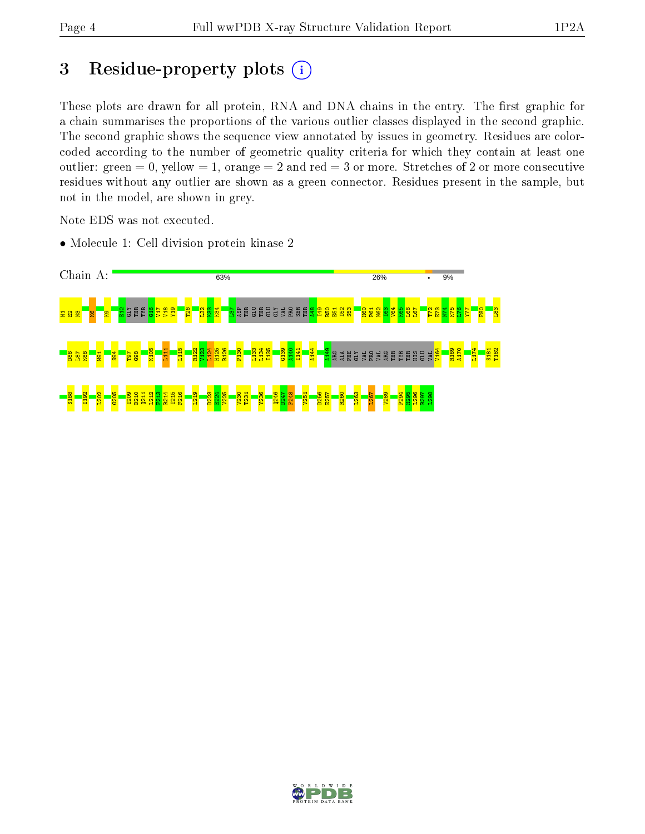# 3 Residue-property plots  $(i)$

These plots are drawn for all protein, RNA and DNA chains in the entry. The first graphic for a chain summarises the proportions of the various outlier classes displayed in the second graphic. The second graphic shows the sequence view annotated by issues in geometry. Residues are colorcoded according to the number of geometric quality criteria for which they contain at least one outlier: green  $= 0$ , yellow  $= 1$ , orange  $= 2$  and red  $= 3$  or more. Stretches of 2 or more consecutive residues without any outlier are shown as a green connector. Residues present in the sample, but not in the model, are shown in grey.

Note EDS was not executed.

• Molecule 1: Cell division protein kinase 2



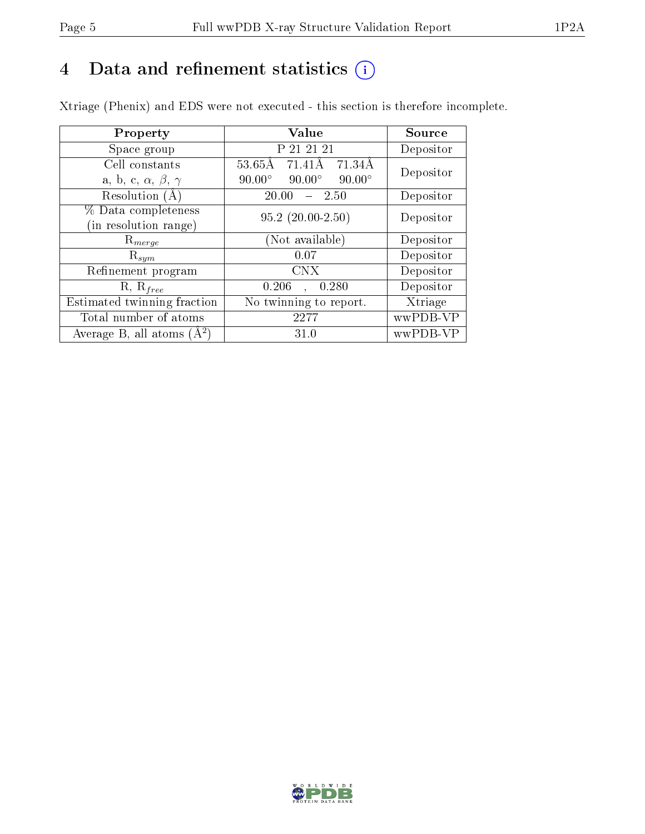# 4 Data and refinement statistics  $(i)$

Xtriage (Phenix) and EDS were not executed - this section is therefore incomplete.

| Property                               | Value                                            | Source    |  |
|----------------------------------------|--------------------------------------------------|-----------|--|
| Space group                            | P 21 21 21                                       | Depositor |  |
| Cell constants                         | $53.65\text{\AA}$<br>$71.41\text{\AA}$<br>71.34Å | Depositor |  |
| a, b, c, $\alpha$ , $\beta$ , $\gamma$ | $90.00^\circ$<br>$90.00^\circ$<br>$90.00^\circ$  |           |  |
| Resolution $(A)$                       | 20.00<br>- 2.50                                  | Depositor |  |
| % Data completeness                    | $95.2(20.00-2.50)$                               | Depositor |  |
| (in resolution range)                  |                                                  |           |  |
| $\mathrm{R}_{merge}$                   | (Not available)                                  | Depositor |  |
| $\mathrm{R}_{sym}$                     | 0.07                                             | Depositor |  |
| Refinement program                     | <b>CNX</b>                                       | Depositor |  |
| $R, R_{free}$                          | 0.206<br>0.280                                   | Depositor |  |
| Estimated twinning fraction            | No twinning to report.                           | Xtriage   |  |
| Total number of atoms                  | 2277                                             | wwPDB-VP  |  |
| Average B, all atoms $(A^2)$           | 31.0                                             | wwPDB-VP  |  |

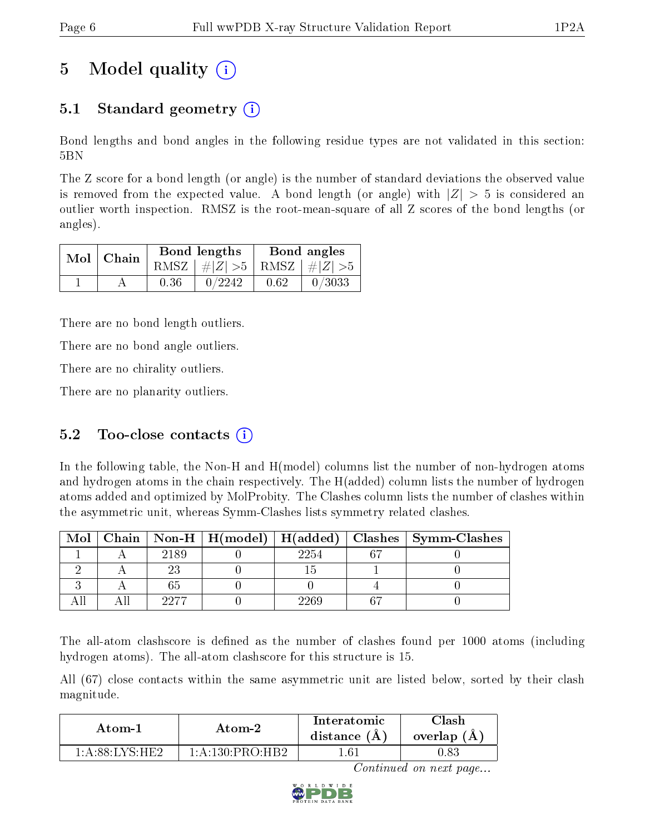# 5 Model quality  $(i)$

# 5.1 Standard geometry  $\overline{()}$

Bond lengths and bond angles in the following residue types are not validated in this section: 5BN

The Z score for a bond length (or angle) is the number of standard deviations the observed value is removed from the expected value. A bond length (or angle) with  $|Z| > 5$  is considered an outlier worth inspection. RMSZ is the root-mean-square of all Z scores of the bond lengths (or angles).

|  | $Mol$   Chain |      | Bond lengths                    | Bond angles |        |  |
|--|---------------|------|---------------------------------|-------------|--------|--|
|  |               |      | RMSZ $ #Z  > 5$ RMSZ $ #Z  > 5$ |             |        |  |
|  |               | 0.36 | 0/2242                          | 0.62        | 0/3033 |  |

There are no bond length outliers.

There are no bond angle outliers.

There are no chirality outliers.

There are no planarity outliers.

## 5.2 Too-close contacts  $(i)$

In the following table, the Non-H and H(model) columns list the number of non-hydrogen atoms and hydrogen atoms in the chain respectively. The H(added) column lists the number of hydrogen atoms added and optimized by MolProbity. The Clashes column lists the number of clashes within the asymmetric unit, whereas Symm-Clashes lists symmetry related clashes.

| Mol |      |      | Chain   Non-H   H(model)   H(added)   Clashes   Symm-Clashes |
|-----|------|------|--------------------------------------------------------------|
|     | 2189 | 2254 |                                                              |
|     |      |      |                                                              |
|     |      |      |                                                              |
|     | 9977 | 960  |                                                              |

The all-atom clashscore is defined as the number of clashes found per 1000 atoms (including hydrogen atoms). The all-atom clashscore for this structure is 15.

All (67) close contacts within the same asymmetric unit are listed below, sorted by their clash magnitude.

| Atom-1                         | Atom-2             | $\operatorname{Interatomic}$<br>distance $(A)$ | Clash-<br>overlap $(A)$ |  |
|--------------------------------|--------------------|------------------------------------------------|-------------------------|--|
| $1\cdot$ A $\cdot$ 88 I VS HE? | $1:$ A:130:PRO:HR2 | -61                                            | $0.83\,$                |  |

Continued on next page...

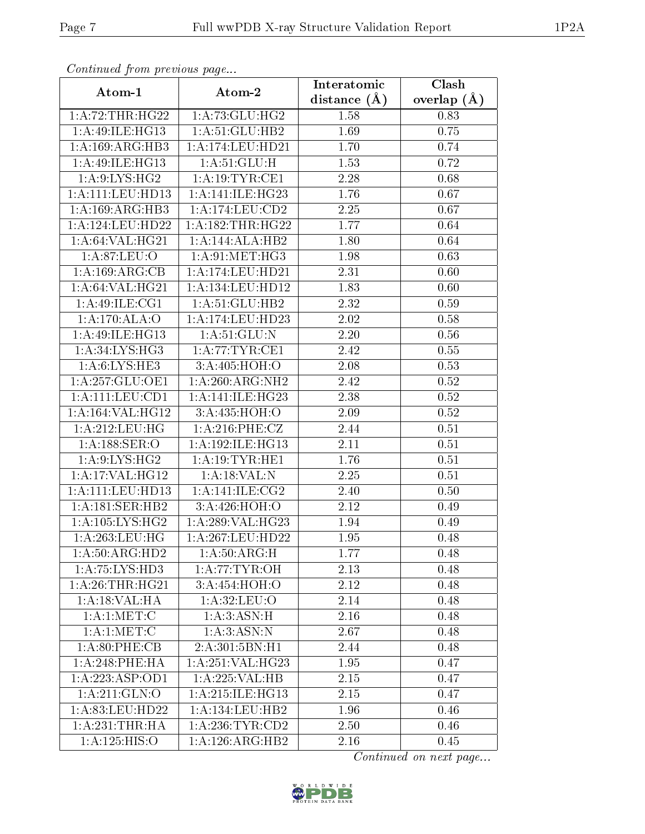| Continuea from previous page |                              | Interatomic      | $\overline{\text{Clash}}$<br>overlap $(A)$ |  |
|------------------------------|------------------------------|------------------|--------------------------------------------|--|
| Atom-1                       | Atom-2                       | distance $(\AA)$ |                                            |  |
| 1:A:72:THR:HG22              | 1:A:73:GLU:HG2               | 1.58             | 0.83                                       |  |
| 1:A:49:ILE:HG13              | 1: A:51: GLU:HB2             | 1.69             | 0.75                                       |  |
| 1:A:169:ARG:HB3              | 1:A:174:LEU:HD21             | 1.70             | 0.74                                       |  |
| 1:A:49:ILE:HG13              | 1: A:51: GLU:H               | 1.53             | 0.72                                       |  |
| 1: A:9: LYS: HG2             | 1: A:19: TYR: CE1            | 2.28             | 0.68                                       |  |
| 1:A:111:LEU:HD13             | 1:A:141:ILE:HG23             | 1.76             | 0.67                                       |  |
| 1: A: 169: ARG: HB3          | 1:A:174:LEU:CD2              | 2.25             | 0.67                                       |  |
| 1:A:124:LEU:HD22             | 1:A:182:THR:HG22             | 1.77             | 0.64                                       |  |
| 1: A:64:VAL:HG21             | 1:A:144:ALA:HB2              | 1.80             | 0.64                                       |  |
| 1: A:87: LEU:O               | 1: A:91: MET:HG3             | 1.98             | 0.63                                       |  |
| 1:A:169:ARG:CB               | 1:A:174:LEU:HD21             | 2.31             | 0.60                                       |  |
| 1: A:64:VAL:HG21             | 1: A: 134: LEU: HD12         | 1.83             | 0.60                                       |  |
| 1: A:49: ILE: CG1            | 1: A:51: GLU:HB2             | 2.32             | 0.59                                       |  |
| 1:A:170:ALA:O                | 1:A:174:LEU:HD23             | 2.02             | 0.58                                       |  |
| 1:A:49:ILE:HG13              | 1: A:51: GLU:N               | 2.20             | 0.56                                       |  |
| 1: A:34: LYS: HG3            | 1: A:77:TYR:CE1              | 2.42             | 0.55                                       |  |
| 1: A:6:LYS:HE3               | 3:A:405:HOH:O                | 2.08             | 0.53                                       |  |
| 1:A:257:GLU:OE1              | 1: A:260:ARG:NH2             | 2.42             | 0.52                                       |  |
| 1: A: 111: LEU: CD1          | 1: A:141: ILE: HG23          | 2.38             | $0.52\,$                                   |  |
| 1: A: 164: VAL: HG12         | 3:A:435:HOH:O                | 2.09             | 0.52                                       |  |
| 1:A:212:LEU:HG               | 1:A:216:PHE:CZ               | 2.44             | 0.51                                       |  |
| 1:A:188:SER:O                | 1:A:192:ILE:HG13             | 2.11             | 0.51                                       |  |
| 1: A:9: LYS: HG2             | 1:A:19:TYR:HE1               | 1.76             | 0.51                                       |  |
| 1: A:17: VAL:HG12            | 1:A:18:VAL:N                 | 2.25             | 0.51                                       |  |
| 1:A:111:LEU:HD13             | 1:A:141:ILE:CG2              | 2.40             | 0.50                                       |  |
| 1: A:181: SER: HB2           | 3:A:426:HOH:O                | 2.12             | 0.49                                       |  |
| 1: A: 105: LYS: HG2          | 1:A:289:VAL:HG23             | 1.94             | 0.49                                       |  |
| 1: A:263:LEU:HG              | 1:A:267:LEU:HD22             | 1.95             | 0.48                                       |  |
| 1:A:50:ARG:HD2               | 1: A:50: ARG:H               | 1.77             | 0.48                                       |  |
| 1:A:75:LYS:HD3               | 1: A:77: TYR: OH             | 2.13             | 0.48                                       |  |
| 1: A:26:THR:HG21             | 3:A:454:HOH:O                | 2.12             | 0.48                                       |  |
| 1:A:18:VAL:HA                | 1:A:32:LEU:O                 | 2.14             | 0.48                                       |  |
| 1: A:1: MET:C                | 1: A:3: ASN:H                | 2.16             | 0.48                                       |  |
| 1: A:1: MET:C                | 1:A:3:ASN:N                  | 2.67             | 0.48                                       |  |
| 1: A:80:PHE:CB               | 2:A:301:5BN:H1               | 2.44             | 0.48                                       |  |
| 1: A:248:PHE:HA              | 1:A:251:VAL:HG23             | 1.95             | 0.47                                       |  |
| 1:A:223:ASP:OD1              | 1:A:225:VAL:HB               | 2.15             | 0.47                                       |  |
| 1: A:211: GLN:O              | 1: A:215: ILE: HG13          | 2.15             | 0.47                                       |  |
| 1: A:83:LEU:HD22             | 1: A: 134: LEU: HB2          | 1.96             | 0.46                                       |  |
| 1:A:231:THR:HA               | 1: A:236:TYR:CD2             | 2.50             | 0.46                                       |  |
| 1:A:125:HIS:O                | $1:A:126:AR\overline{G:HB2}$ | 2.16             | 0.45                                       |  |

Continued from previous page.

Continued on next page...

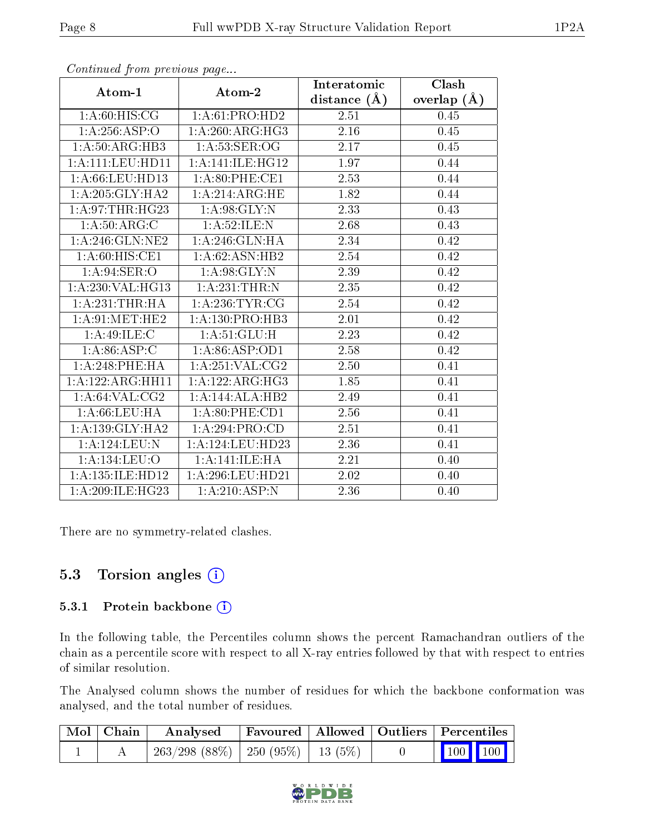|                                  |                                   | Interatomic      | Clash         |
|----------------------------------|-----------------------------------|------------------|---------------|
| Atom-1                           | Atom-2                            | distance $(\AA)$ | overlap $(A)$ |
| 1: A:60:HIS:CG                   | 1:A:61:PRO:HD2                    | 2.51             | 0.45          |
| 1:A:256:ASP:O                    | 1:A:260:ARG:HG3                   | 2.16             | 0.45          |
| 1:A:50:ARG:HB3                   | $1:A:53:\overline{\text{SER}:OG}$ | 2.17             | 0.45          |
| 1: A: 111: LEU: HD11             | 1:A:141:ILE:HG12                  | 1.97             | 0.44          |
| 1: A:66:LEU:HD13                 | 1: A:80: PHE:CE1                  | 2.53             | 0.44          |
| 1: A:205: GLY:HA2                | 1:A:214:ARG:HE                    | 1.82             | 0.44          |
| 1: A:97:THR:HG23                 | 1: A:98: GLY:N                    | 2.33             | 0.43          |
| 1: A:50: ARG: C                  | 1: A:52: ILE:N                    | 2.68             | 0.43          |
| 1: A:246: GLN:NE2                | 1:A:246:GLN:HA                    | 2.34             | 0.42          |
| 1: A:60: HIS: CE1                | 1: A:62: ASN:HB2                  | 2.54             | 0.42          |
| 1: A:94: SER:O                   | 1: A:98: GLY:N                    | 2.39             | 0.42          |
| 1:A:230:VAL:HG13                 | 1:A:231:THR:N                     | 2.35             | 0.42          |
| 1: A:231:THR:HA                  | 1: A:236:TYR:CG                   | 2.54             | 0.42          |
| 1: A:91: MET:HE2                 | 1: A: 130: PRO: HB3               | 2.01             | 0.42          |
| 1: A:49: ILE:C                   | 1:A:51:GLU:H                      | 2.23             | 0.42          |
| 1: A:86: ASP:C                   | 1: A:86: ASP:OD1                  | 2.58             | 0.42          |
| 1: A:248:PHE:HA                  | 1: A:251: VAL:CG2                 | 2.50             | 0.41          |
| 1:A:122:ARG:HH11                 | 1:A:122:ARG:HG3                   | 1.85             | 0.41          |
| 1: A:64:VAL:CG2                  | 1:A:144:ALA:HB2                   | 2.49             | 0.41          |
| 1: A:66:LEU:HA                   | $1: A:80:$ PHE: $CD1$             | 2.56             | 0.41          |
| $1: A: 139: GLY: \overline{HA2}$ | 1: A:294: PRO:CD                  | 2.51             | 0.41          |
| 1:A:124:LEU:N                    | 1:A:124:LEU:HD23                  | 2.36             | 0.41          |
| 1:A:134:LEU:O                    | 1:A:141:ILE:HA                    | 2.21             | 0.40          |
| 1:A:135:ILE:H <sub>D12</sub>     | 1:A:296:LEU:HD21                  | 2.02             | 0.40          |
| 1: A:209: ILE: HG23              | 1:A:210:ASP:N                     | 2.36             | 0.40          |

Continued from previous page...

There are no symmetry-related clashes.

## 5.3 Torsion angles  $(i)$

#### 5.3.1 Protein backbone (i)

In the following table, the Percentiles column shows the percent Ramachandran outliers of the chain as a percentile score with respect to all X-ray entries followed by that with respect to entries of similar resolution.

The Analysed column shows the number of residues for which the backbone conformation was analysed, and the total number of residues.

| Mol   Chain | Analysed                                 |  | Favoured   Allowed   Outliers   Percentiles    |
|-------------|------------------------------------------|--|------------------------------------------------|
|             | $263/298$ (88\%)   250 (95\%)   13 (5\%) |  | $\begin{bmatrix} 100 \\ 100 \end{bmatrix}$ 100 |

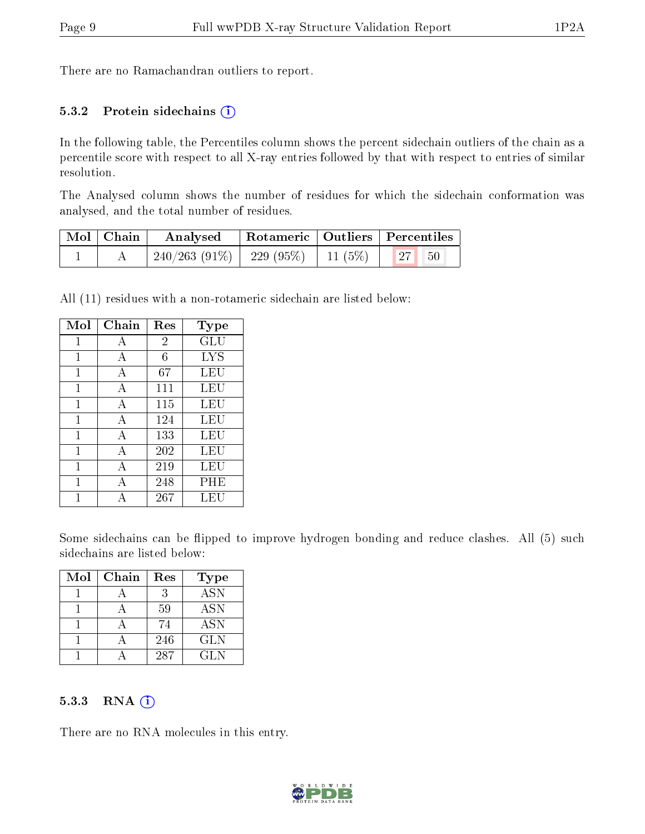There are no Ramachandran outliers to report.

#### 5.3.2 Protein sidechains  $(i)$

In the following table, the Percentiles column shows the percent sidechain outliers of the chain as a percentile score with respect to all X-ray entries followed by that with respect to entries of similar resolution.

The Analysed column shows the number of residues for which the sidechain conformation was analysed, and the total number of residues.

| Mol   Chain | Analysed                                           | Rotameric   Outliers   Percentiles |  |  |  |
|-------------|----------------------------------------------------|------------------------------------|--|--|--|
|             | $240/263$ (91\%)   229 (95\%)   11 (5\%)   27   50 |                                    |  |  |  |

All (11) residues with a non-rotameric sidechain are listed below:

| Mol | Chain        | Res            | Type |
|-----|--------------|----------------|------|
| 1   | А            | $\overline{2}$ | GLU  |
| 1   | А            | 6              | LYS  |
|     | A            | 67             | LEU  |
| 1   | A            | 111            | LEU  |
| 1   | A            | 115            | LEU  |
| 1   | A            | 124            | LEU  |
| 1   | А            | 133            | LEU  |
| 1   | A            | 202            | LEU  |
| 1   | $\mathbf{A}$ | 219            | LEU  |
| 1   | А            | 248            | PHE  |
|     |              | 267            | LEU  |

Some sidechains can be flipped to improve hydrogen bonding and reduce clashes. All (5) such sidechains are listed below:

| Mol | Chain | Res | <b>Type</b>               |
|-----|-------|-----|---------------------------|
|     |       |     | $\overline{\mathrm{ASN}}$ |
|     |       | 59  | <b>ASN</b>                |
|     |       | 74  | <b>ASN</b>                |
|     |       | 246 | <b>GLN</b>                |
|     |       | 287 | GL N                      |

#### 5.3.3 RNA (i)

There are no RNA molecules in this entry.

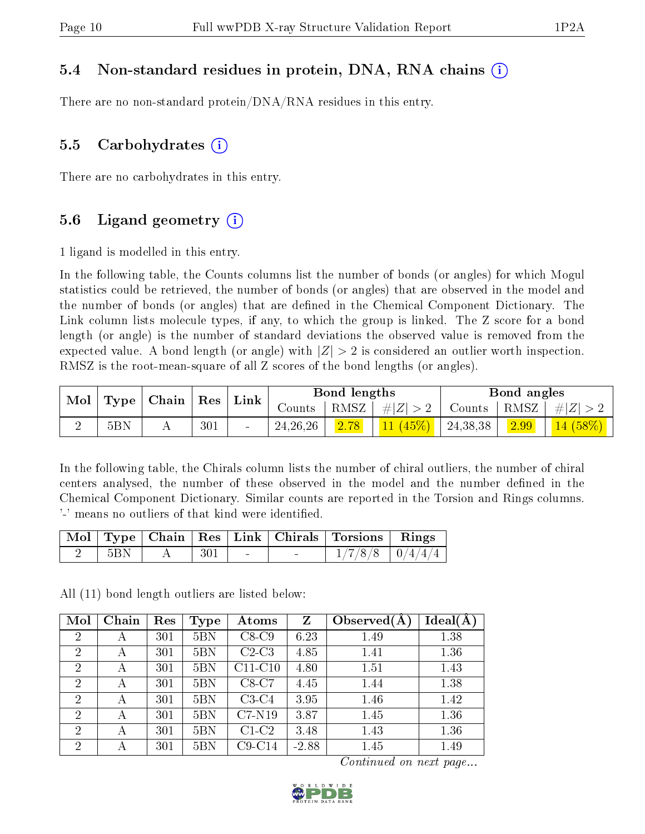#### 5.4 Non-standard residues in protein, DNA, RNA chains (i)

There are no non-standard protein/DNA/RNA residues in this entry.

#### 5.5 Carbohydrates  $(i)$

There are no carbohydrates in this entry.

#### 5.6 Ligand geometry  $(i)$

1 ligand is modelled in this entry.

In the following table, the Counts columns list the number of bonds (or angles) for which Mogul statistics could be retrieved, the number of bonds (or angles) that are observed in the model and the number of bonds (or angles) that are dened in the Chemical Component Dictionary. The Link column lists molecule types, if any, to which the group is linked. The Z score for a bond length (or angle) is the number of standard deviations the observed value is removed from the expected value. A bond length (or angle) with  $|Z| > 2$  is considered an outlier worth inspection. RMSZ is the root-mean-square of all Z scores of the bond lengths (or angles).

| Mol | Type            | $\vert$ Res | $\mid$ Chain |        |            | $^{\mathrm{+}}$ Link $_{\mathrm{+}}$ |             | Bond lengths |        |            | Bond angles |  |
|-----|-----------------|-------------|--------------|--------|------------|--------------------------------------|-------------|--------------|--------|------------|-------------|--|
|     |                 |             |              |        | Counts     | RMSZ                                 | $\# Z  > 2$ | Counts       | ' RMSZ | $\# Z $    |             |  |
|     | 5B <sub>N</sub> |             | 301          | $\sim$ | 24, 26, 26 | 2.78                                 | 11(45%)     | 24, 38, 38   | 2.99   | $14(58\%)$ |             |  |

In the following table, the Chirals column lists the number of chiral outliers, the number of chiral centers analysed, the number of these observed in the model and the number defined in the Chemical Component Dictionary. Similar counts are reported in the Torsion and Rings columns. '-' means no outliers of that kind were identified.

|             |                          |  | Mol   Type   Chain   Res   Link   Chirals   Torsions   Rings |  |
|-------------|--------------------------|--|--------------------------------------------------------------|--|
| $\vert$ 5BN | $\mathbf{A}$   301 $\pm$ |  | $\mid$ 1/7/8/8 $\mid$ 0/4/4/4 $\mid$                         |  |

All (11) bond length outliers are listed below:

| Mol            | Chain | Res | Type            | Atoms     | Z       | Observed $(A$ | Ideal(A) |
|----------------|-------|-----|-----------------|-----------|---------|---------------|----------|
| 2              | А     | 301 | 5B <sub>N</sub> | $C8-C9$   | 6.23    | 1.49          | 1.38     |
| 2              | А     | 301 | 5B <sub>N</sub> | $C2-C3$   | 4.85    | 1.41          | 1.36     |
| $\overline{2}$ | А     | 301 | 5B <sub>N</sub> | $C11-C10$ | 4.80    | 1.51          | 1.43     |
| $\overline{2}$ | А     | 301 | 5B <sub>N</sub> | $C8-C7$   | 4.45    | 1.44          | 1.38     |
| $\overline{2}$ | А     | 301 | 5B <sub>N</sub> | $C3-C4$   | 3.95    | 1.46          | 1.42     |
| 2              | А     | 301 | 5B <sub>N</sub> | $C7-N19$  | 3.87    | 1.45          | 1.36     |
| 2              | А     | 301 | 5B <sub>N</sub> | $C1-C2$   | 3.48    | 1.43          | 1.36     |
| $\overline{2}$ |       | 301 | 5B <sub>N</sub> | $C9-C14$  | $-2.88$ | 1.45          | 1.49     |

Continued on next page...

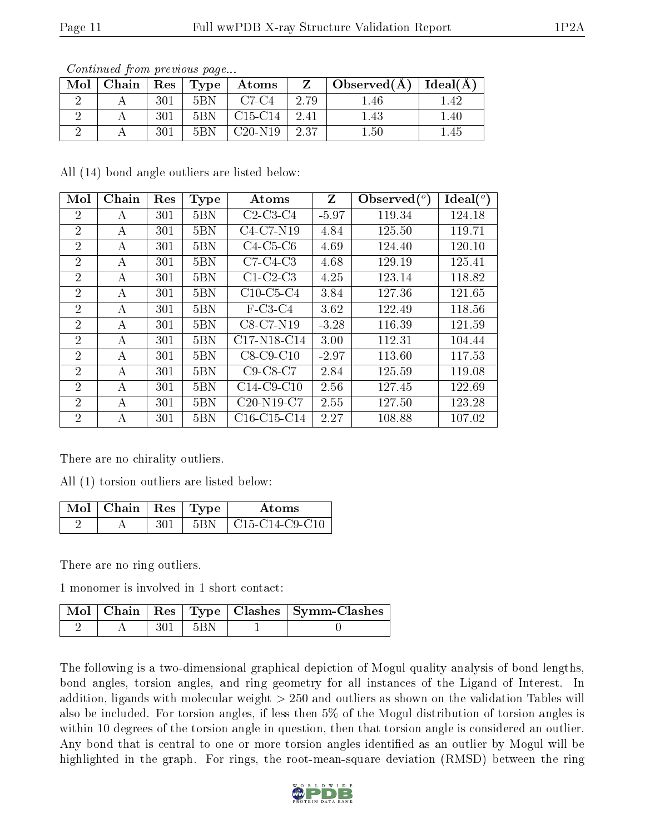| Mol | Chain |     | $\mid$ Res $\mid$ Type $\mid$ | Atoms                            |       | $\top$ Observed(A) $\top$ | Ideal $(A)$ |
|-----|-------|-----|-------------------------------|----------------------------------|-------|---------------------------|-------------|
|     |       | 301 | 5BN                           | C7-C4                            | 2.79  | .46                       | 1.42        |
|     |       | 301 | 5B <sub>N</sub>               | C <sub>15</sub> -C <sub>14</sub> | -2.41 | 1.43                      | $1.40\,$    |
|     |       | 301 | 5BN                           | $C20-N19$                        | 2.37  | 1.50                      | 1.45        |

Continued from previous page...

All (14) bond angle outliers are listed below:

| Mol            | Chain | Res | <b>Type</b>     | Atoms         | Z       | Observed $(°)$ | $Ideal(^\circ)$ |
|----------------|-------|-----|-----------------|---------------|---------|----------------|-----------------|
| $\overline{2}$ | A     | 301 | 5B <sub>N</sub> | $C2-C3-C4$    | $-5.97$ | 119.34         | 124.18          |
| $\overline{2}$ | А     | 301 | 5B <sub>N</sub> | C4-C7-N19     | 4.84    | 125.50         | 119.71          |
| $\overline{2}$ | А     | 301 | 5B <sub>N</sub> | $C4-C5-C6$    | 4.69    | 124.40         | 120.10          |
| $\overline{2}$ | А     | 301 | 5B <sub>N</sub> | $C7-C4-C3$    | 4.68    | 129.19         | 125.41          |
| $\overline{2}$ | А     | 301 | 5B <sub>N</sub> | $C1-C2-C3$    | 4.25    | 123.14         | 118.82          |
| $\overline{2}$ | А     | 301 | 5B <sub>N</sub> | $C10$ -C5-C4  | 3.84    | 127.36         | 121.65          |
| $\overline{2}$ | А     | 301 | 5B <sub>N</sub> | $F-C3-C4$     | 3.62    | 122.49         | 118.56          |
| $\overline{2}$ | А     | 301 | 5B <sub>N</sub> | $C8-C7-N19$   | $-3.28$ | 116.39         | 121.59          |
| $\overline{2}$ | A     | 301 | 5B <sub>N</sub> | C17-N18-C14   | 3.00    | 112.31         | 104.44          |
| 2              | А     | 301 | 5BN             | $C8-C9-C10$   | $-2.97$ | 113.60         | 117.53          |
| $\overline{2}$ | A     | 301 | 5B <sub>N</sub> | $C9-C8-C7$    | 2.84    | 125.59         | 119.08          |
| $\overline{2}$ | А     | 301 | 5B <sub>N</sub> | $C14-C9-C10$  | 2.56    | 127.45         | 122.69          |
| $\overline{2}$ | А     | 301 | 5B <sub>N</sub> | $C20-N19-C7$  | 2.55    | 127.50         | 123.28          |
| $\overline{2}$ | А     | 301 | 5B <sub>N</sub> | $C16-C15-C14$ | 2.27    | 108.88         | 107.02          |

There are no chirality outliers.

All (1) torsion outliers are listed below:

| $\mathbb{N}$ Mol $\mid$ Chain $\mid$ Res $\mid$ Type $\mid$ |     | Atoms          |
|-------------------------------------------------------------|-----|----------------|
|                                                             | 5BN | C15-C14-C9-C10 |

There are no ring outliers.

1 monomer is involved in 1 short contact:

|  |       | Mol   Chain   Res   Type   Clashes   Symm-Clashes |
|--|-------|---------------------------------------------------|
|  | ' 5BN |                                                   |

The following is a two-dimensional graphical depiction of Mogul quality analysis of bond lengths, bond angles, torsion angles, and ring geometry for all instances of the Ligand of Interest. In addition, ligands with molecular weight > 250 and outliers as shown on the validation Tables will also be included. For torsion angles, if less then 5% of the Mogul distribution of torsion angles is within 10 degrees of the torsion angle in question, then that torsion angle is considered an outlier. Any bond that is central to one or more torsion angles identified as an outlier by Mogul will be highlighted in the graph. For rings, the root-mean-square deviation (RMSD) between the ring

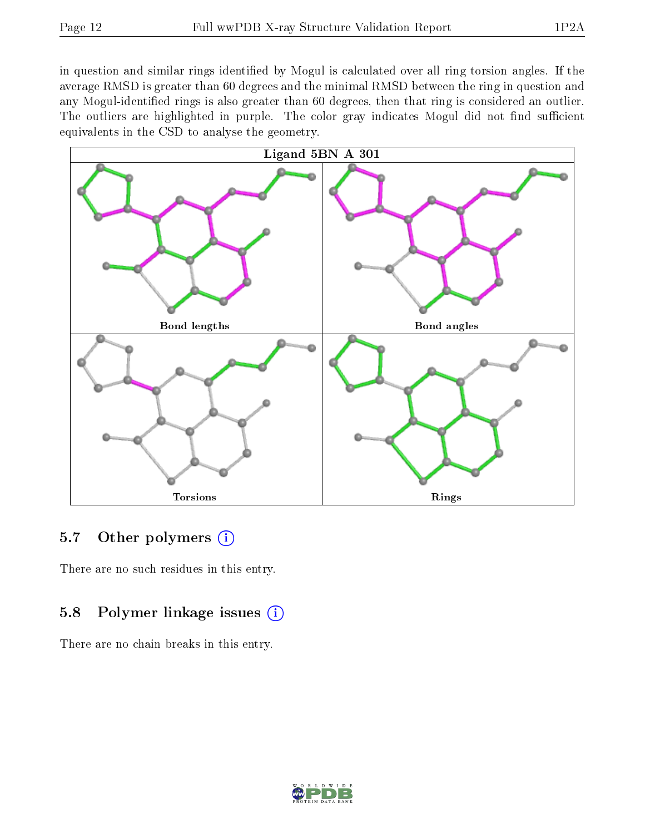in question and similar rings identified by Mogul is calculated over all ring torsion angles. If the average RMSD is greater than 60 degrees and the minimal RMSD between the ring in question and any Mogul-identified rings is also greater than 60 degrees, then that ring is considered an outlier. The outliers are highlighted in purple. The color gray indicates Mogul did not find sufficient equivalents in the CSD to analyse the geometry.



## 5.7 [O](https://www.wwpdb.org/validation/2017/XrayValidationReportHelp#nonstandard_residues_and_ligands)ther polymers  $(i)$

There are no such residues in this entry.

## 5.8 Polymer linkage issues  $(i)$

There are no chain breaks in this entry.